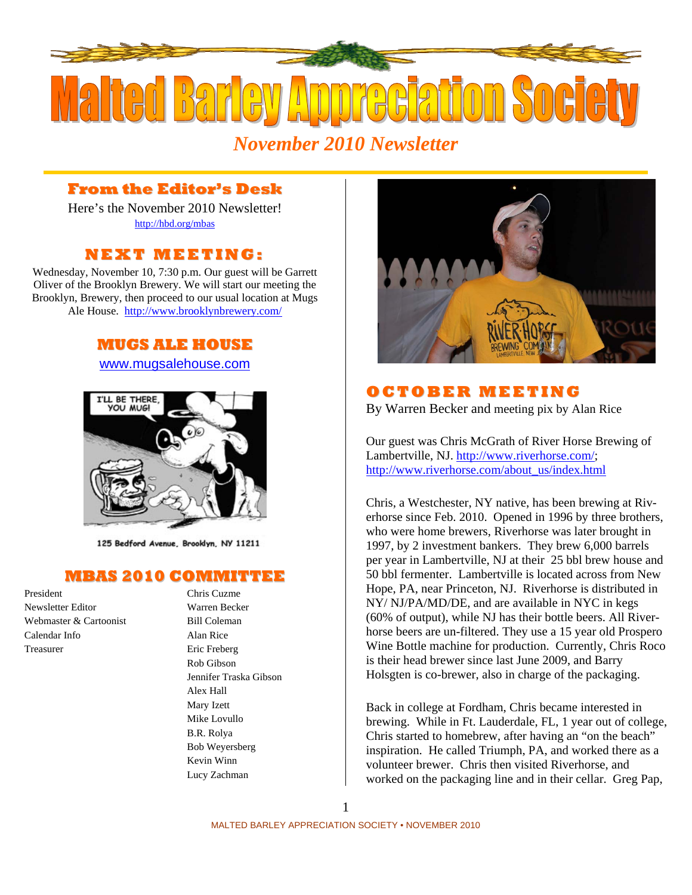

## **From the Editor's Desk**

Here's the November 2010 Newsletter! <http://hbd.org/mbas>

## **NEXT MEETI NG:**

Wednesday, November 10, 7:30 p.m. Our guest will be Garrett Oliver of the Brooklyn Brewery. We will start our meeting the Brooklyn, Brewery, then proceed to our usual location at Mugs Ale House. <http://www.brooklynbrewery.com/>

## **MUGS ALE HOUSE**

#### [www.mugsalehouse.com](http://www.mugsalehouse.com/)



125 Bedford Avenue, Brooklyn, NY 11211

#### **MBAS 2010 COMMITTEE**

President Chris Cuzme Newsletter Editor Warren Becker Webmaster & Cartoonist Bill Coleman Calendar Info Alan Rice Treasurer Eric Freberg

Rob Gibson Jennifer Traska Gibson Alex Hall Mary Izett Mike Lovullo B.R. Rolya Bob Weyersberg Kevin Winn Lucy Zachman



## **OC TO BE R MEETI NG**

By Warren Becker and meeting pix by Alan Rice

Our guest was Chris McGrath of River Horse Brewing of Lambertville, NJ.<http://www.riverhorse.com/>; [http://www.riverhorse.com/about\\_us/index.html](http://www.riverhorse.com/about_us/index.html)

Chris, a Westchester, NY native, has been brewing at Riverhorse since Feb. 2010. Opened in 1996 by three brothers, who were home brewers, Riverhorse was later brought in 1997, by 2 investment bankers. They brew 6,000 barrels per year in Lambertville, NJ at their 25 bbl brew house and 50 bbl fermenter. Lambertville is located across from New Hope, PA, near Princeton, NJ. Riverhorse is distributed in NY/ NJ/PA/MD/DE, and are available in NYC in kegs (60% of output), while NJ has their bottle beers. All Riverhorse beers are un-filtered. They use a 15 year old Prospero Wine Bottle machine for production. Currently, Chris Roco is their head brewer since last June 2009, and Barry Holsgten is co-brewer, also in charge of the packaging.

Back in college at Fordham, Chris became interested in brewing. While in Ft. Lauderdale, FL, 1 year out of college, Chris started to homebrew, after having an "on the beach" inspiration. He called Triumph, PA, and worked there as a volunteer brewer. Chris then visited Riverhorse, and worked on the packaging line and in their cellar. Greg Pap,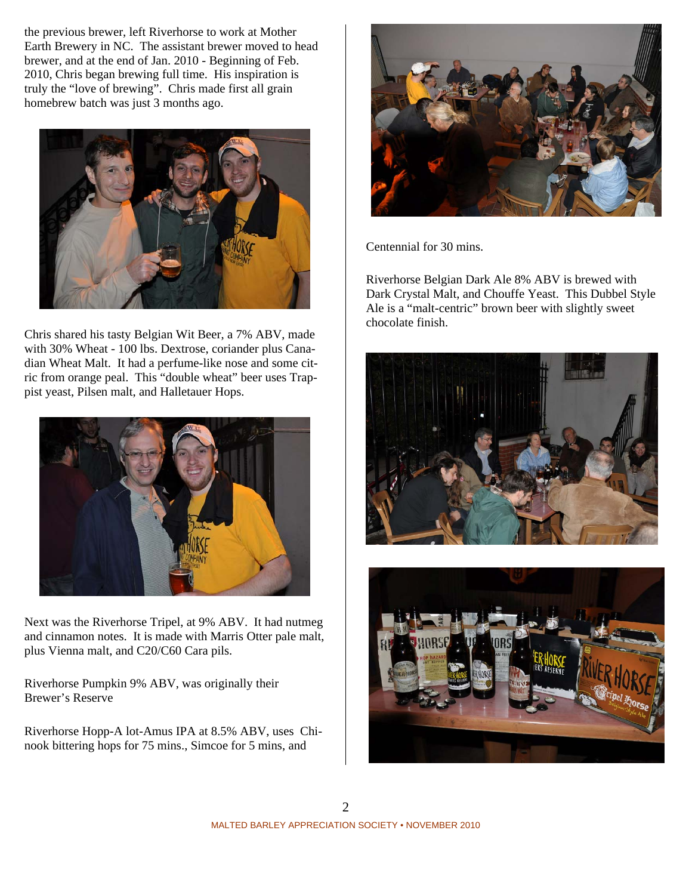the previous brewer, left Riverhorse to work at Mother Earth Brewery in NC. The assistant brewer moved to head brewer, and at the end of Jan. 2010 - Beginning of Feb. 2010, Chris began brewing full time. His inspiration is truly the "love of brewing". Chris made first all grain homebrew batch was just 3 months ago.



Chris shared his tasty Belgian Wit Beer, a 7% ABV, made with 30% Wheat - 100 lbs. Dextrose, coriander plus Canadian Wheat Malt. It had a perfume-like nose and some citric from orange peal. This "double wheat" beer uses Trappist yeast, Pilsen malt, and Halletauer Hops.



Next was the Riverhorse Tripel, at 9% ABV. It had nutmeg and cinnamon notes. It is made with Marris Otter pale malt, plus Vienna malt, and C20/C60 Cara pils.

Riverhorse Pumpkin 9% ABV, was originally their Brewer's Reserve

Riverhorse Hopp-A lot-Amus IPA at 8.5% ABV, uses Chinook bittering hops for 75 mins., Simcoe for 5 mins, and



Centennial for 30 mins.

Riverhorse Belgian Dark Ale 8% ABV is brewed with Dark Crystal Malt, and Chouffe Yeast. This Dubbel Style Ale is a "malt-centric" brown beer with slightly sweet chocolate finish.



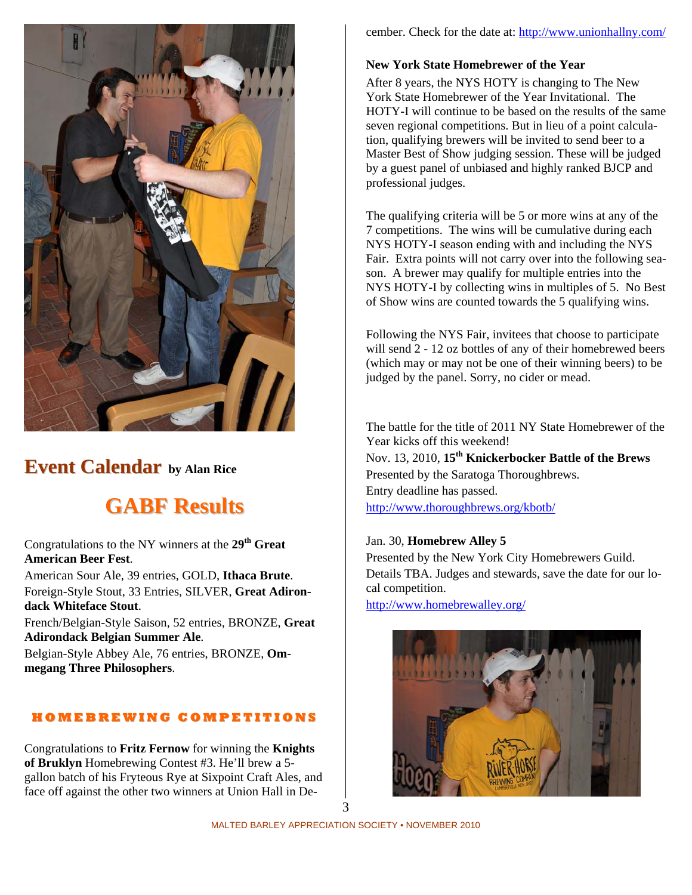

## **Event Calendar by Alan Rice**

# **GABF Results**

Congratulations to the NY winners at the **29th Great American Beer Fest**.

American Sour Ale, 39 entries, GOLD, **Ithaca Brute**. Foreign-Style Stout, 33 Entries, SILVER, **Great Adirondack Whiteface Stout**.

French/Belgian-Style Saison, 52 entries, BRONZE, **Great Adirondack Belgian Summer Ale**.

Belgian-Style Abbey Ale, 76 entries, BRONZE, **Ommegang Three Philosophers**.

#### **H O M E B R E WI N G C O M P E TI TI O N S**

Congratulations to **Fritz Fernow** for winning the **Knights of Bruklyn** Homebrewing Contest #3. He'll brew a 5 gallon batch of his Fryteous Rye at Sixpoint Craft Ales, and face off against the other two winners at Union Hall in December. Check for the date at:<http://www.unionhallny.com/>

#### **New York State Homebrewer of the Year**

After 8 years, the NYS HOTY is changing to The New York State Homebrewer of the Year Invitational. The HOTY-I will continue to be based on the results of the same seven regional competitions. But in lieu of a point calculation, qualifying brewers will be invited to send beer to a Master Best of Show judging session. These will be judged by a guest panel of unbiased and highly ranked BJCP and professional judges.

The qualifying criteria will be 5 or more wins at any of the 7 competitions. The wins will be cumulative during each NYS HOTY-I season ending with and including the NYS Fair. Extra points will not carry over into the following season. A brewer may qualify for multiple entries into the NYS HOTY-I by collecting wins in multiples of 5. No Best of Show wins are counted towards the 5 qualifying wins.

Following the NYS Fair, invitees that choose to participate will send 2 - 12 oz bottles of any of their homebrewed beers (which may or may not be one of their winning beers) to be judged by the panel. Sorry, no cider or mead.

The battle for the title of 2011 NY State Homebrewer of the Year kicks off this weekend! Nov. 13, 2010, **15th Knickerbocker Battle of the Brews** Presented by the Saratoga Thoroughbrews. Entry deadline has passed. <http://www.thoroughbrews.org/kbotb/>

#### Jan. 30, **Homebrew Alley 5**

Presented by the New York City Homebrewers Guild. Details TBA. Judges and stewards, save the date for our local competition.

<http://www.homebrewalley.org/>

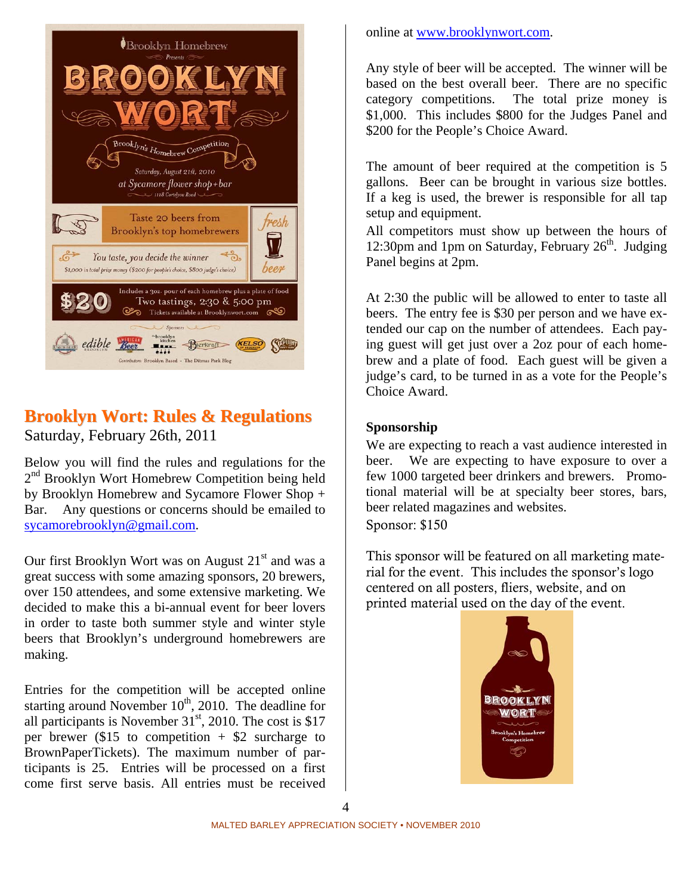

## **Brooklyn Wort: Rules & Regulations** Saturday, February 26th, 2011

Below you will find the rules and regulations for the 2<sup>nd</sup> Brooklyn Wort Homebrew Competition being held by Brooklyn Homebrew and Sycamore Flower Shop + Bar. Any questions or concerns should be emailed to [sycamorebrooklyn@gmail.com.](mailto:sycamorebrooklyn@gmail.com)

Our first Brooklyn Wort was on August  $21<sup>st</sup>$  and was a great success with some amazing sponsors, 20 brewers, over 150 attendees, and some extensive marketing. We decided to make this a bi-annual event for beer lovers in order to taste both summer style and winter style beers that Brooklyn's underground homebrewers are making.

Entries for the competition will be accepted online starting around November  $10<sup>th</sup>$ , 2010. The deadline for all participants is November  $31<sup>st</sup>$ , 2010. The cost is \$17 per brewer (\$15 to competition  $+$  \$2 surcharge to BrownPaperTickets). The maximum number of participants is 25. Entries will be processed on a first come first serve basis. All entries must be received

#### online at [www.brooklynwort.com.](http://www.brooklynwort.com/)

Any style of beer will be accepted. The winner will be based on the best overall beer. There are no specific category competitions. The total prize money is \$1,000. This includes \$800 for the Judges Panel and \$200 for the People's Choice Award.

The amount of beer required at the competition is 5 gallons. Beer can be brought in various size bottles. If a keg is used, the brewer is responsible for all tap setup and equipment.

All competitors must show up between the hours of 12:30pm and 1pm on Saturday, February  $26<sup>th</sup>$ . Judging Panel begins at 2pm.

At 2:30 the public will be allowed to enter to taste all beers. The entry fee is \$30 per person and we have extended our cap on the number of attendees. Each paying guest will get just over a 2oz pour of each homebrew and a plate of food. Each guest will be given a judge's card, to be turned in as a vote for the People's Choice Award.

### **Sponsorship**

We are expecting to reach a vast audience interested in beer. We are expecting to have exposure to over a few 1000 targeted beer drinkers and brewers. Promotional material will be at specialty beer stores, bars, beer related magazines and websites.

Sponsor: \$150

This sponsor will be featured on all marketing material for the event. This includes the sponsor's logo centered on all posters, fliers, website, and on printed material used on the day of the event.